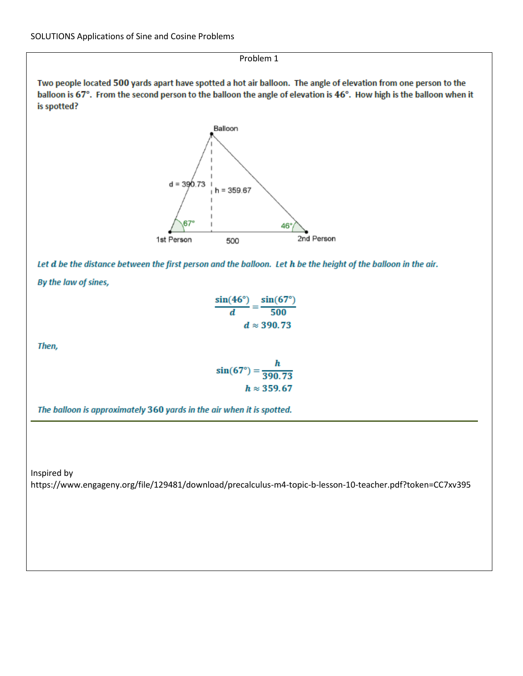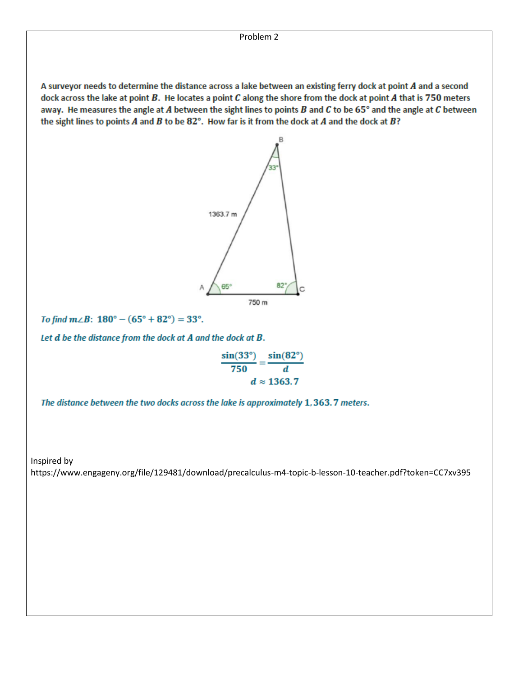A surveyor needs to determine the distance across a lake between an existing ferry dock at point A and a second dock across the lake at point  $B$ . He locates a point  $C$  along the shore from the dock at point  $A$  that is  $750$  meters away. He measures the angle at A between the sight lines to points B and C to be 65 $^{\circ}$  and the angle at C between the sight lines to points  $A$  and  $B$  to be  $82^\circ$ . How far is it from the dock at  $A$  and the dock at  $B$ ?



To find  $m\angle B$ :  $180^\circ - (65^\circ + 82^\circ) = 33^\circ$ .

Let d be the distance from the dock at A and the dock at B.

 $\frac{\sin(33^\circ)}{750} = \frac{\sin(82^\circ)}{d}$  $d \approx 1363.7$ 

The distance between the two docks across the lake is approximately 1, 363.7 meters.

Inspired by

https://www.engageny.org/file/129481/download/precalculus-m4-topic-b-lesson-10-teacher.pdf?token=CC7xv395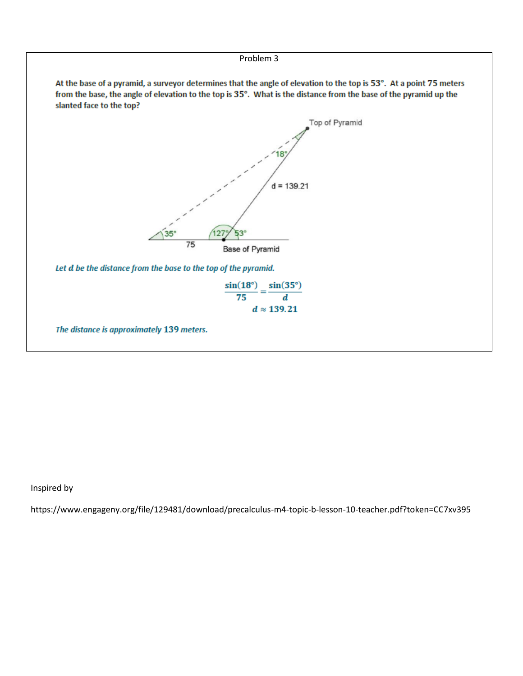

Inspired by

https://www.engageny.org/file/129481/download/precalculus-m4-topic-b-lesson-10-teacher.pdf?token=CC7xv395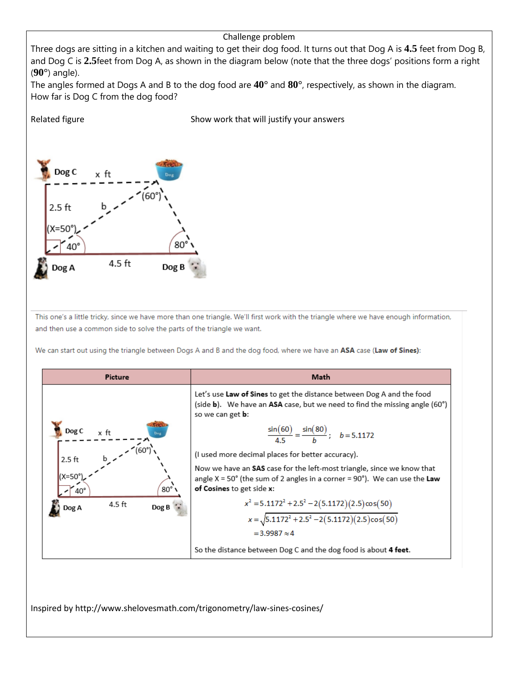## Challenge problem

Three dogs are sitting in a kitchen and waiting to get their dog food. It turns out that Dog A is **4.5** feet from Dog B, and Dog C is **2.5**feet from Dog A, as shown in the diagram below (note that the three dogs' positions form a right (**90°**) angle).

The angles formed at Dogs A and B to the dog food are **40°** and **80°**, respectively, as shown in the diagram. How far is Dog C from the dog food?

Related figure The Show work that will justify your answers



This one's a little tricky, since we have more than one triangle. We'll first work with the triangle where we have enough information, and then use a common side to solve the parts of the triangle we want.

We can start out using the triangle between Dogs A and B and the dog food, where we have an ASA case (Law of Sines):



Inspired by http://www.shelovesmath.com/trigonometry/law-sines-cosines/